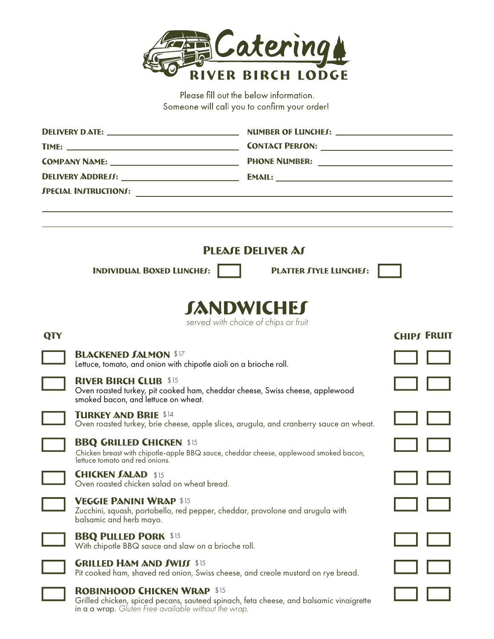

Please fill out the below information. Someone will call you to confirm your order!

| <b>DELIVERY DATE:</b> _________________________________ |                                                                                                                                                            |                                      |                    |  |  |  |
|---------------------------------------------------------|------------------------------------------------------------------------------------------------------------------------------------------------------------|--------------------------------------|--------------------|--|--|--|
|                                                         |                                                                                                                                                            |                                      |                    |  |  |  |
|                                                         |                                                                                                                                                            |                                      |                    |  |  |  |
|                                                         |                                                                                                                                                            |                                      |                    |  |  |  |
|                                                         |                                                                                                                                                            |                                      |                    |  |  |  |
|                                                         |                                                                                                                                                            |                                      |                    |  |  |  |
|                                                         |                                                                                                                                                            | <b>PLEATE DELIVER AT</b>             |                    |  |  |  |
|                                                         | <b>INDIVIDUAL BOXED LUNCHES:</b>                                                                                                                           | <b>PLATTER JTYLE LUNCHES:</b>        |                    |  |  |  |
|                                                         |                                                                                                                                                            | <b>JANDWICHET</b>                    |                    |  |  |  |
| QTY                                                     |                                                                                                                                                            | served with choice of chips or fruit | <b>CHIPT FRUIT</b> |  |  |  |
|                                                         | <b>BLACKENED JALMON \$17</b><br>Lettuce, tomato, and onion with chipotle aioli on a brioche roll.                                                          |                                      |                    |  |  |  |
|                                                         | <b>RIVER BIRCH CLUB \$15</b><br>Oven roasted turkey, pit cooked ham, cheddar cheese, Swiss cheese, applewood<br>smoked bacon, and lettuce on wheat.        |                                      |                    |  |  |  |
|                                                         | <b>TURKEY AND BRIE \$14</b><br>Oven roasted turkey, brie cheese, apple slices, arugula, and cranberry sauce an wheat.                                      |                                      |                    |  |  |  |
|                                                         | <b>BBQ GRILLED CHICKEN \$15</b><br>Chicken breast with chipotle-apple BBQ sauce, cheddar cheese, applewood smoked bacon,<br>lettuce tomato and red onions. |                                      |                    |  |  |  |
|                                                         | <b>CHICKEN JALAD \$15</b><br>Oven roasted chicken salad on wheat bread.                                                                                    |                                      |                    |  |  |  |
|                                                         | <b>VEGGIE PANINI WRAP \$15</b><br>Zucchini, squash, portobello, red pepper, cheddar, provolone and arugula with<br>balsamic and herb mayo.                 |                                      |                    |  |  |  |
|                                                         | <b>BBQ PULLED PORK \$15</b><br>With chipotle BBQ sauce and slaw on a brioche roll.                                                                         |                                      |                    |  |  |  |
|                                                         | <b>GRILLED HAM AND SWISS \$15</b><br>Pit cooked ham, shaved red onion, Swiss cheese, and creole mustard on rye bread.                                      |                                      |                    |  |  |  |
|                                                         | <b>ROBINHOOD CHICKEN WRAP \$15</b><br>Grilled chicken, spiced pecans, squteed spingch, feta cheese, and balsamic vingigrette                               |                                      |                    |  |  |  |

Grilled chicken, spiced pecans, sauteed spinach, feta cheese, and balsamic vinaigrette in a a wrap. *Gluten Free available without the wrap.* 

L  $\overline{\phantom{0}}$